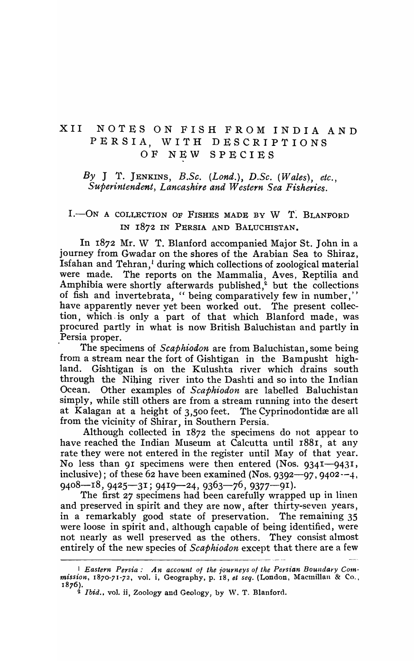# XII NOTES ON FISH FROM INDIA AND PERSIA, WITH DESCRIPTIONS OF NEW SPECIES

### *By* J T. JENKINS, *B.Sc. (Lond.), D.Sc. (Wales), etc., Superintendent, Lancashire and Western Sea Fisheries.*

# I.-ON A COLLECTION OF FISHES MADE BY W T. BLANFORD IN I872 IN PERSIA AND BALUCHISTAN.

In 1872 Mr. W T. Blanford accompanied Major St. John in a journey from Gwadar on the shores of the Arabian Sea to Shiraz, Isfahan and Tehran,<sup>1</sup> during which collections of zoological material were made. The reports on the Mammalia, Aves, Reptilia and Amphibia were shortly afterwards published, $\frac{1}{2}$  but the collections of fish and invertebrata, "being comparatively few in number," have apparently never yet been worked out. The present collection, which. is only a part of that which Blanford made, was procured partly in what is now British Baluchistan and partly in Persia proper.

. The specimens of *Scaphiodon* are from Baluchistan, some being from a stream near the fort of Gishtigan in the Bampusht highland. Gishtigan is on the Kulushta river which drains south through the Nihing river into the Dashti and so into the Indian Ocean. Other examples of *Scaphiodon* are labelled Baluchistan simply, while still others are from a stream running into the desert at Kalagan at a height of 3,500 feet. The Cyprinodontidæ are all from the vicinity of Shirar, in Southern Persia.

Although collected in I872 the specimens do not appear to have reached the Indian Museum at Calcutta until 1881, at any rate they were not entered in the register until May of that year. No less than 91 specimens were then entered (Nos.  $9341 - 9431$ , inclusive); of these 62 have been examined (Nos. 9392-97, 9402 $-4$ ,  $9408 - 18, 9425 - 31$ ;  $9419 - 24, 9363 - 76, 9377 - 91$ .

The first 27 specimens had been carefully wrapped up in linen and preserved in spirit and they are now, after thirty-seven years, in a remarkably good state of preservation. The remaining 3S were loose in spirit and, although capable of being identified, were not nearly as well preserved as the others. They consist almost entirely of the new species of *Scaphiodon* except that there are a few

<sup>&</sup>lt;sup>1</sup> Eastern Persia: An account of the journeys of the Persian Boundary Commission, 1870-71-72, vol. i, Geography, p. 18, *et seq.* (London, Macmillan & Co., 1876 ).

<sup>&</sup>lt;sup>2</sup> *Ibid.*, vol. ii, Zoology and Geology, by W. T. Blanford.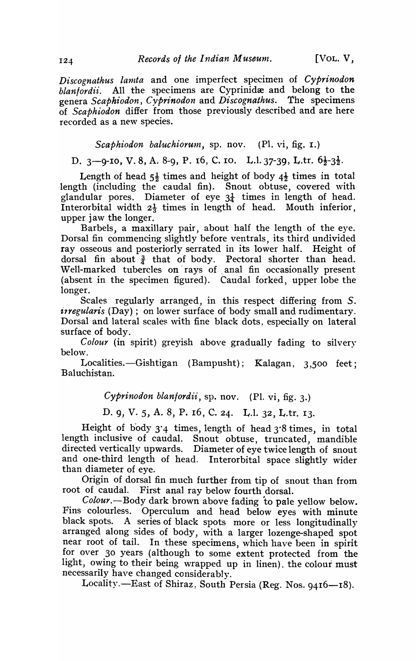*Discognathus lanzta* and one imperfect specimen of *Cyprinodon blanfordii.* All the specimens are Cyprinidæ and belong to the genera Scaphiodon, Cyprinodon and Discognathus. The specimens genera *Scaphiodon, Cyprinodon* and *Discognathus*. of *Scaphiodon* differ from those previously described and are here recorded as a new species.

*Scaphiodon baluchiorum*, sp. nov. (Pl. vi, fig. 1.)

D. 3-9-10, V. 8, A. 8-9, P. 16, C. 10. L.l. 37-39, L.tr.  $6\frac{1}{2}$ -3 $\frac{1}{2}$ .

Length of head  $5\frac{1}{2}$  times and height of body  $4\frac{1}{2}$  times in total length (including the caudal fin). Snout obtuse, covered with glandular pores. Diameter of eye  $3\frac{1}{4}$  times in length of head. Interorbital width  $2\frac{1}{3}$  times in length of head. Mouth inferior, upper jaw the longer.

Barbels, a maxillary pair, about half the length of the eye. Dorsal fin commencing slightly before ventrals, its third undivided ray osseous and posteriorly serrated in its lower half. Height of dorsal fin about  $\frac{3}{4}$  that of body. Pectoral shorter than head. Well-marked tubercles on rays of anal fin occasionally present (absent in the specimen figured). Caudal forked, upper lobe the longer.

Scales regularly arranged, in this respect differing from S. *irregularis* (Day); on lower surface of body small and rudimentary. Dorsal and lateral scales with fine black dots, especially on lateral surface of body.

*Colour* (in spirit) greyish above gradually fading to silvery below.

Localities.-Gishtigan (Bampusht); Kalagan, 3,500 feet; Bal uchistan.

*Cyprinodon blanfordii,* sp. nov. (PI. vi, fig. 3.)

D. 9, V. 5, A. 8, P. 16, C. 24. L.I. 32, L.tr. 13.

Height of body  $3'4$  times, length of head  $3'8$  times, in total length inclusive of caudal. Snout obtuse, truncated, mandible directed vertically upwards. Diameter of eye twice length of snout and one-third length of head. Interorbital space slightly wider than diameter of eye.

Origin of dorsal fin much further from tip of snout than from root of caudal. First anal ray below fourth dorsal.

*Colour.-Body* dark brown above fading to pale yellow below. Fins colourless. Operculum and head below eyes with minute black spots. A series of black spots more or less longitudinally arranged along sides of body, with a larger lozenge-shaped spot near root of tail. In these specimens, which have been in spirit for over 30 years (although to some extent protected from the light, owing to their being wrapped up in linen). the colour must necessarily have changed considerably.

Locality.-East of Shiraz, South Persia (Reg. Nos. 9416-18).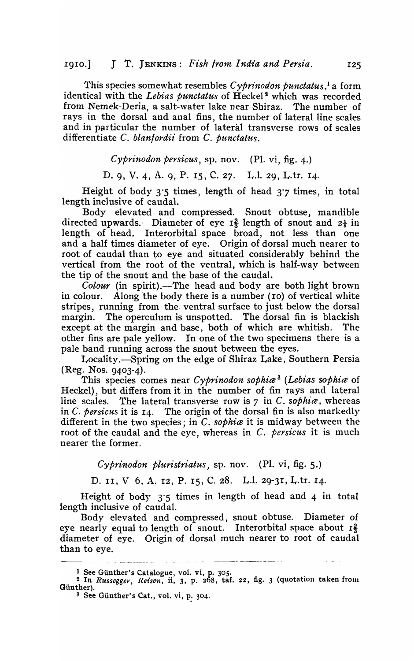This species somewhat resembles *Cyprinodon punctatus*,<sup>1</sup> a form identical with the Lebias punctatus of Heckel<sup>2</sup> which was recorded from Nemek-Deria, a salt-water lake near Shiraz. The number of rays in the dorsal and anal fins, the number of lateral line scales and in particular the number of lateral transverse rows of scales differentiate C. *blanlordii* from C. *punctatus.* 

*Cypr'inodon persicus,* sp. nov. (PI. vi, fig. 4.)

D. 9, V. 4, A. 9, P. IS, C. 27. L.1. 29, L.tr. 14·

Height of body  $3.5$  times, length of head  $3.7$  times, in total length inclusive of caudal.

Body elevated and compressed. Snout obtuse, mandible directed upwards. Diameter of eye  $I_3^2$  length of snout and  $2\frac{1}{6}$  in length of head. Interorbital space broad, not less than one and a half times diameter of eye. Origin of dorsal much nearer to root of caudal than to eye and situated considerably behind the vertical from the root of the ventral, which is half-way between the tip of the snout and the base of the caudal.

Colour (in spirit).-The head and body are both light brown in colour. Along the body there is a number (10) of vertical white stripes, running from the· ventral surface to just below the dorsal margin. The operculum is unspotted. The dorsal fin is blackish except at the margin and base, both of which are whitish. The other fins are pale yellow. In one of the two specimens there is a pale band running across the snout between the eyes.

Locality.-Spring on the edge of Shiraz Lake, Southern Persia (Reg. Nos. 9403-4).

This species comes near *Cyprinodon sophia*<sup>8</sup> (Lebias sophia of Heckel), but differs from it in the number of fin rays and lateral line scales. The lateral transverse row is 7 in C. *sophia*, whereas in C. *persicus* it is 14. 'fhe origin of the dorsal fin is also markedly different in the two species; in C. *sophia* it is midway between the root of the caudal and the eye, whereas in  $C$ . persicus it is much nearer the former.

*Cyprinodon pluristriatus,* sp. nov. (PI. vi, fig. 5.)

D. II, V 6, A. 12, P. 15, C. 28. L.l. 29-31, L.tr. 14.

Height of body 3'5 times in length of head and 4 in total length inclusive of caudal.

Body elevated and compressed, snout obtuse. Diameter of eye nearly equal to length of snout. Interorbital space about  $I_3^2$ diameter of eye. Origin of dorsal much nearer to root of caudal than to eye.

<sup>)</sup> See Giinther's Catalogue, vol. vi, p. *30S.* 

<sup>&</sup>lt;sup>2</sup> In *Russegger, Reisen*, ii, 3, p. 268, taf. 22, fig. 3 (quotation taken from Günther).

<sup>&</sup>lt;sup>8</sup> See Günther's Cat., vol. vi, p. 304.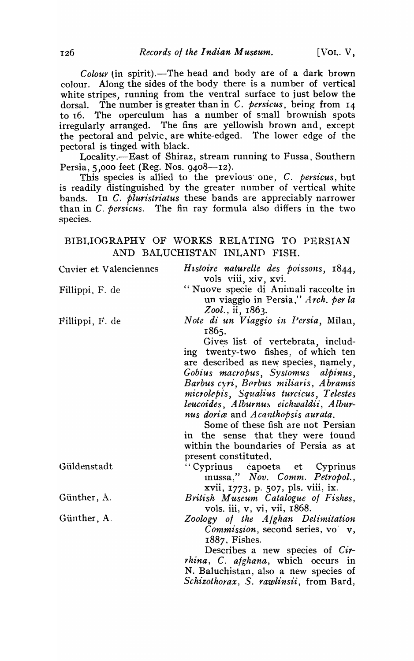Colour (in spirit).—The head and body are of a dark brown colour. Along the sides of the body there is a number of vertical white stripes, running from the ventral surface to just below the dorsal. The number is greater than in C. persicus, being from  $14$ to 16. The operculum has a number of small brownish spots irregularly arranged. The fins are yellowish brown and, except the pectoral and pelvic, are white-edged. The lower edge of the pectoral is tinged with black.

Locality.—East of Shiraz, stream running to Fussa, Southern Persia, 5,000 feet (Reg. Nos.  $9408 - 12$ ).

This species is allied to the previous one, C. persicus, but is readily distinguished by the greater number of vertical white bands. In C. *pluristriatus* these bands are appreciably narrower than in C. persicus. The fin ray formula also differs in the two species.

### BIBLIOGRAPHY OF WORKS RELATING TO PERSIAN AND BALUCHISTAN INLAND FISH.

Cuvier et Valenciennes Histoire naturelle des poissons, 1844, vols viii, xiv, xvi. "Nuove specie di Animali raccolte in Fillippi, F. de un viaggio in Persia," Arch. per la Zool., ii, 1863. Note di un Viaggio in Persia, Milan, Fillippi, F. de 1865. Gives list of vertebrata, including twenty-two fishes, of which ten are described as new species, namely, Gobius macropus, Systomus alpinus, Barbus cyri, Barbus miliaris, Abramis microlepis, Squalius turcicus, Telestes leucoides, Alburnus eichwaldii, Alburnus doriæ and Acanthopsis aurata. Some of these fish are not Persian in the sense that they were found within the boundaries of Persia as at present constituted. "Cyprinus capoeta et Güldenstadt Cyprinus inussa," Nov. Comm. Petropol., xvii, 1773, p. 507, pls. viii, ix. British Museum Catalogue of Fishes, Günther, A. vols. iii, v, vi, vii, 1868. Günther, A. Zoology of the Alghan Delimitation Commission, second series, vo v, 1887, Fishes. Describes a new species of Cir*rhina*, C. afghana, which occurs in N. Baluchistan, also a new species of Schizothorax, S. rawlinsii, from Bard,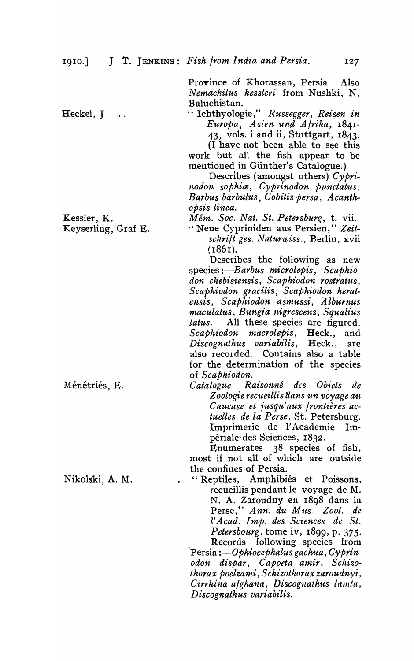Province of Khorassan, Persia. Also  $N$ *emachilus kessleri* from Nushki, N. Baluchistan.

Heckel, J.

Kessler, K.

Keyserling, Graf E.

" Ichthyologie," *Russegger, Reisen in Europa, Asien und Afrika, 1841-* 43, vols. i and ii, Stuttgart, 1843.

(1 have not been able to see this work but all the fish appear to be mentioned in Günther's Catalogue.)

Describes (amongst others)  $Cv\rho r i$ *nodon sophite, Cyprinodon punctatus,*  Barbus barbulus, Cobitis persa, Acanth*opsis. linea.* 

M *eln. Soc. Nat. St. Petersburg,* t. vii.

" Neue Cypriniden aus Persien," Zeit*schrift ges. Naturwiss.,* Berlin, xvii  $(1861)$ .

Describes the following as new species: *-Barbus microlepis*, Scaphio*don chebisiensis, Scaphiodon rostratus, Scaphiodon gracilis, Scaphiodon herat* $ensis,$  Scaphiodon asmussi, Alburnus *maculatus, Bung1'a nigrescens, Squalius latus.* All these species are figured. Scaphiodon macrolepis, Heck., and *Discognathus variabi1is,* Heck., are also recorded. Contains also a table for the determination of the species of *Scaphiodon.* 

*Catalogue Raisonné des Objets de Z oologie recueillis aans un voyage au*  C *aucase et jusqu' aux /rontieres actuelles de 1a Pcrse,* St. Petersburg. Imprimerie de l'Academie Imperiale'des Sciences, 1832.

Enumerates 38 species of fish, most if not all of which are outside the confines of Persia.

"Reptiles, Amphibiés et Poissons, recueillis pendant le voyage de M. N. A. Zaroudny en r898 dans la Perse," Ann. du Mus. Zool. de I' *Acad. Imp. des Sciences de St. Petersbourg, tome iv, 1899, p. 375.* Records following species from

Persia :—Ophiocephalus gachua, Cyprin*odon dispar, Capoeta amir, Schizo* $thorax$  poelzami, Schizothorax zaroudnyi, *Cirrhina afghana, Discognathus lamta, Discognathus variabilis.* 

Ménétriés, E.

Nikolski, A. M.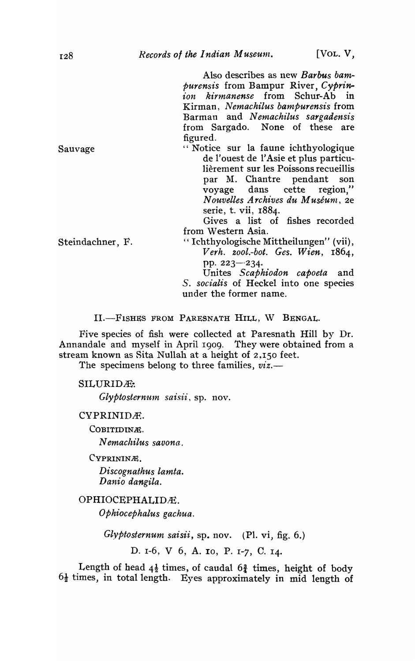Also describes as new *Barbus bampurensis* from Bampur River, *Cyprin*ion kirmanense from Schur-Ab in Kirman, *Nemachilus bampurensis* from Barman and *Nemachilus* sargadensis from Sargado. None of these are figured.

"Notice sur la faune ichthyologique de l'ouest de l'Asie et plus particulièrement sur les Poissons recueillis par M. Chantre pendant son voyage dans cette region,"  $Now$ *elles Archives du Muséum*, 2e serie, t. vii, 1884.

Gives a list of fishes recorded from Western Asia.

Steindachner, F. " Ichthyologische Mittheilungen" (vii), *Verh. zool.-bot. Ges. Wien, 1864,*  pp. 223–234.

Unites *Scaphiodon capoeta* and S. *socialis* of Heckel into one species under the former name.

II.-FISHES FROM PARESNATH HILL, W BENGAL.

Five species of fish were collected at Paresnath Hill by Dr. Annandale and myself in April 1909. They were obtained from a stream known as Sita Nullah at a height of 2,150 feet.

The specimens belong to three families,  $viz.$ —

SILURIDÆ:

*Glyptosternum saisii*, sp. nov.

CYPRINIDÆ.

COBITIDINÆ.

N *emacltilus savona.* 

CYPRININÆ.

*Discognathus lamta. Danio dangila.* 

### OPHIOCEPHALIDÆ.

*Ophiocephalus gachua.* 

*Glyptosternum saisii,* sp. nov. (PI. vi, fig. 6.)

D. 1-6, V 6, A. 10, P. 1-7, C. 14.

Length of head  $4\frac{1}{2}$  times, of caudal  $6\frac{3}{4}$  times, height of body  $6\frac{1}{2}$  times, in total length. Eyes approximately in mid length of

Sauvage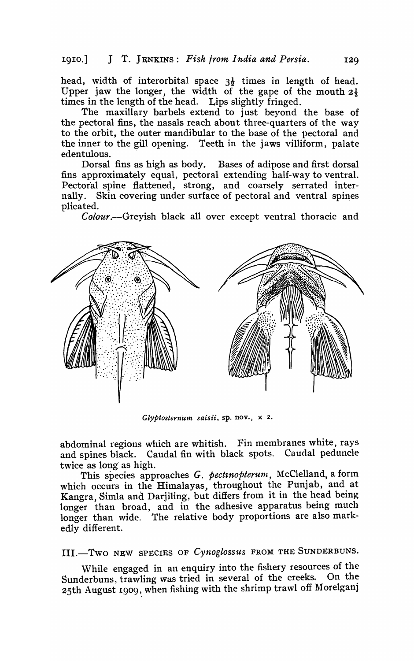head, width of interorbital space  $3\frac{1}{2}$  times in length of head. Upper jaw the longer, the width of the gape of the mouth  $2\frac{1}{3}$ times in the length of the head. Lips slightly fringed.

The maxillary barbels extend to just beyond the base of the pectoral fins, the nasals reach about three-quarters of the way to the orbit, the outer mandibular to the base of the pectoral and the inner to the gill opening. Teeth in the jaws villiform, palate edentulous.

Dorsal fins as high as body. Bases of adipose and first dorsal fins approximately equal, pectoral extending half-way to ventral. Pectoral spine flattened, strong, and coarsely serrated internally. Skin covering under surface of pectoral and ventral spines plicated.

*Colour.*-Greyish black all over except ventral thoracic and



*Glyptosternum saisii*, sp. nov.,  $\times$  2.

abdominal regions which are whitish. Fin membranes white, rays and spines black. Caudal fin with black spots. Caudal peduncle twice as long as high.

This species approaches *G. pectinopterum*, McClelland, a form which occurs in the Himalayas, throughout the Punjab, and at Kangra, Simla and Darjiling, but differs from it in the head being longer than broad, and in the adhesive apparatus being much longer than wide. The relative body proportions are also markedly different.

lll.-Two NEW SPECIES OF *Cynoglossus* FROM THE SUNDERBUNS.

While engaged in an enquiry into the fishery resources of the Sunderbuns, trawling was tried in several of the creeks. On the 25th August 1909, when fishing with the shrimp trawl off Morelganj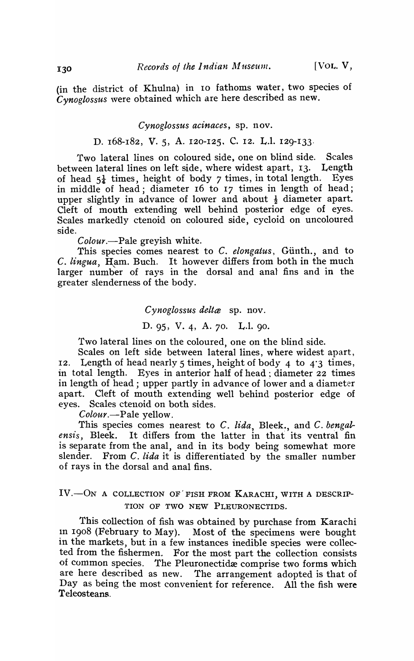(in the district of Khulna) in 10 fathoms water, two species of *Cynoglossus* \vere obtained which are here described as new.

*Cynoglossus acinaces,* sp. nov.

# D. 168-182, V. 5, A. 120-125. C. 12. L.1. 129-133.

Two lateral lines on coloured side, one on blind side. Scales between lateral lines on left side, where widest apart, 13. Length<br>of head  $5\frac{1}{2}$  times, height of body 7 times, in total length. Eves of head  $5\frac{1}{4}$  times, height of body 7 times, in total length. in middle of head; diameter 16 to 17 times in length of head; upper slightly in advance of lower and about  $\frac{1}{2}$  diameter apart. Cleft of mouth extending well behind posterior edge of eyes. Scales markedly ctenoid on coloured side, cycloid on uncoloured side.

*Colour.-Pale* greyish white.

This species comes nearest to C. *elongatus*, Günth., and to C. *lingua,* Ham. Buch. It however differs from both in the much larger number of rays in the dorsal and anal fins and in the greater slenderness of the body.

> *Cynoglossus delta* sp. nov. D. 95, V. 4, A. 70. L.l. 90.

Two lateral lines on the coloured, one on the blind side.

Scales on left side between lateral lines, where widest apart, 12. Length of head nearly 5 times, height of body 4 to 4'3 times, in total length. Eyes in anterior half of head : diameter 22 times in length of head; upper partly in advance of lower and a diameter apart. Cleft of mouth extending well behind posterior edge of eyes. Scales ctenoid on both sides.

*Colour.-Pale* yellow.

This species comes nearest to C. lida, Bleek., and C. *bengalensis,* Bleek. It differs from the latter in that its ventral fin is separate from the anal, and in its body being somewhat more slender. From C. *lida* it is differentiated by the smaller number of rays in the dorsal and anal fins.

### IV.-ON A COLLECTION OF FISH FROM KARACHI, WITH A DESCRIP-TION OF TWO NEW PLEURONECTIDS.

This collection of fish was obtained by purchase from Karachi In 1908 (February to May). Most of the specimens were bought in the markets, but in a few instances inedible species were collected from the fishermen. For the most part the collection consists of common species. The Pleuronectidae comprise two forms which are here described as new. The arrangement adopted is that of Day as being the most convenient for reference. All the fish were Teleosteans.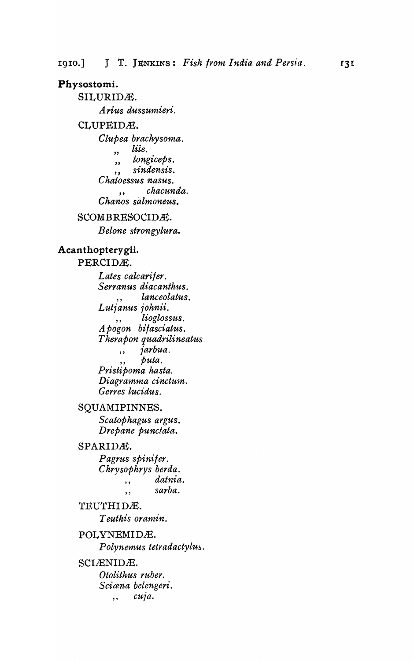### Physostomi.

SILURIDÆ. Arius dussumieri. CLUPEIDÆ. Clupea brachysoma. lile.  $\overline{\mathbf{v}}$ longiceps.  $\overline{\mathbf{z}}$ sindensis.  $,$ Chaloessus nasus. chacunda.  $\ddot{\phantom{a}}$ Chanos salmoneus.

### SCOMBRESOCIDÆ.

Belone strongylura.

#### Acanthopterygii.

PERCIDÆ. Lates calcarifer. Serranus diacanthus. lanceolatus. Lutjanus johnii. lioglossus.  $, \,$ Apogon bifasciatus. Therapon quadrilineatus  $\bar{j}$ arbua.  $, ,$ puta.  $, ,$ Pristipoma hasta. Diagramma cinctum. Gerres lucidus.

#### SQUAMIPINNES.

Scatophagus argus. Drepane punctata.

#### SPARIDÆ.

Pagrus spinifer. Chrysophrys berda. datnia.  $\ddot{\phantom{1}}$ sarba.  $\ddot{\phantom{1}}$ 

# TEUTHIDÆ. Teuthis oramin.

POLYNEMIDÆ. Polynemus tetradactylus. SCIÆNIDÆ. Otolithus ruber.

Sciæna belengeri. cuja.  $,$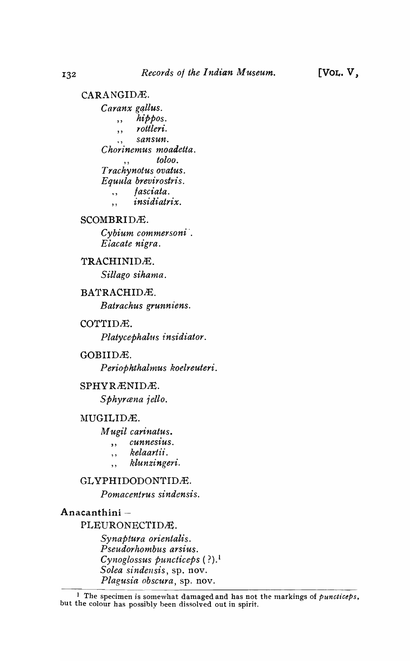#### CARANGIDÆ. Caranx gallus.  $hibpos.$  $,$ , rottleri.  $\ddot{\phantom{a}}$ sansun. Chorinemus moadetta. toloo. Trachynotus ovatus. Equula brevirostris. fasciata.  $, ,$ *insidiatrix.*  $, \cdot$

# SCOMBRIDÆ.

Cybium commersoni. Eiacate nigra.

### TRACHINIDÆ.

Sillago sihama.

### BATRACHIDÆ.

Batrachus grunniens.

### COTTIDÆ.

Platycephalus insidiator.

#### GOBIIDÆ.

Periophthalmus koelreuteri.

#### SPHYRÆNIDÆ.

Sphyræna jello.

## MUGILIDÆ.

Mugil carinatus.

- cunnesius.  $,$
- kelaartii.  $, ,$
- klunzingeri.  $\ddotsc$

# GLYPHIDODONTIDÆ.

Pomacentrus sindensis.

### Anacanthini-

PLEURONECTIDÆ.

Synaptura orientalis. Pseudorhombus arsius. Cynoglossus puncticeps (?).<sup>1</sup> Solea sindensis, sp. nov. Plagusia obscura, sp. nov.

<sup>&</sup>lt;sup>1</sup> The specimen is somewhat damaged and has not the markings of *puncticeps*, but the colour has possibly been dissolved out in spirit.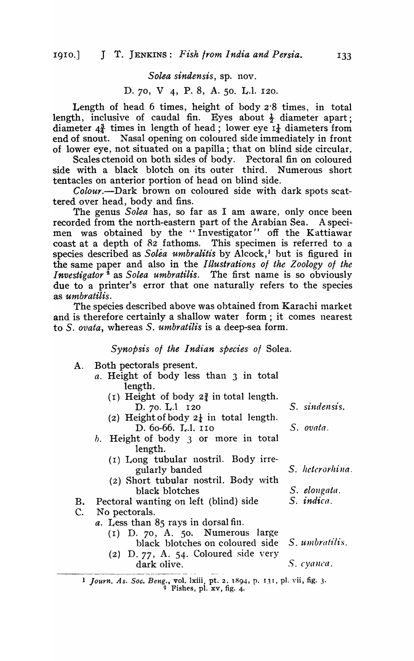# S *olea sindensis,* sp. nov.

### D. 70, V 4, P. 8, A. 50. L.1. 120.

Length of head 6 times, height of body 2'8 times, in total length, inclusive of caudal fin. Eyes about  $\frac{1}{2}$  diameter apart; diameter  $4\frac{3}{4}$  times in length of head; lower eye  $I_{\frac{1}{4}}$  diameters from end of snout. Nasal opening on coloured side immediately in front of lower eye, not situated on a papilla; that on blind side circular.

Scales ctenoid on both sides of body. Pectoral fin on coloured side with a black blotch on its outer third. Numerous short tentacles on anterior portion of head on blind side.

*Colour.-Dark* brown on coloured side with dark spots scattered over head, body and fins.

The genus *Solea* has, so far as I am aware, only once been recorded from the north-eastern part of the Arabian Sea. A specimen was obtained by the "Investigator" off the Kattiawar coast at a depth of 82 fathoms. This specimen is referred to a species described as *Solea umbralitis* by Alcock,<sup>1</sup> but is figured in the same paper and also in the *Illustrations 01 the Zoology 01 the Investigator*<sup>2</sup> as *Solea umbratilis*. The first name is so obviously due to a printer's error that one naturally refers to the species as *umbratilis*.

The species described above was obtained from Karachi market and is therefore certainly a shallow water form; it comes nearest to *S. ovata,* whereas *S. umbratilis* is a deep-sea form.

*Synopsis 01 the I ndian species of* Solea.

- A. Both pectorals present.
	- *a.* Height of body less than 3 in total length.
		- (I) Height of body  $2\frac{3}{4}$  in total length. D. 70. L.1 120 *S. sindensis.*
		- (2) Height of body  $2\frac{1}{4}$  in total length. D. 60-66. L.l. 110 S. *ovata.*
	- $b.$  Height of body 3 or more in total length.
		- $(I)$  Long tubular nostril. Body irregularly banded
		- $(2)$  Short tubular nostril. Body with black blotches
- B. Pectoral wanting on left (blind) side *S. indica.*
- C. No pectorals.
	- *a.* Less than 85 rays in dorsal fin.
		- (I) D. 70, A. 50. Numerous large black blotches on coloured side *S. umbratilis.*
		- (2) D. 77, A. 54. Coloured side very dark olive. *S. cyallca.*

1 *Journ. As. Soc. Beng.*, vol. lxiii, pt. 2. 1894, p. 131, pl. vii, fig. 3.  $2$  Fishes, pl. xv, fig. 4.

S. *hetcrorhi na.* 

S. *elongata*.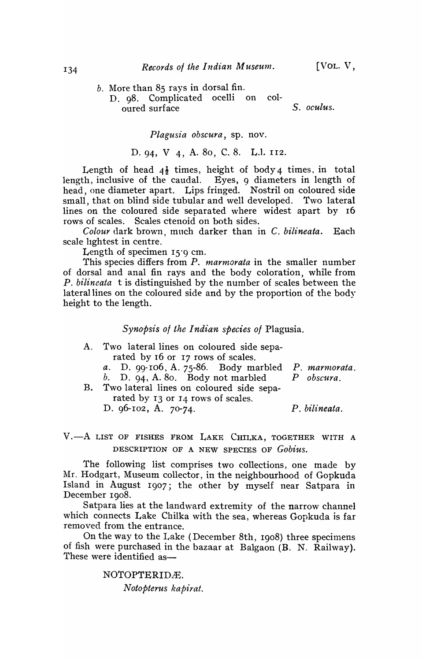- $b.$  More than  $85$  rays in dorsal fin.
	- D. 98. Complicated ocelli on coloured surface *S. oculus.*

*Plagusia obscura,* sp. nov.

D.94, V 4, A. 80, C.8. L.1. 112.

Length of head  $4\frac{1}{2}$  times, height of body 4 times, in total length, inclusive of the caudal. Eyes, 9 diameters in length of head, one diameter apart. Lips fringed. Nostril on coloured side small, that on blind side tubular and well developed. Two lateral lines on the coloured side separated where widest apart by 16 rows of scales. Scales ctenoid on both sides.

*Colour* dark brown, mnch darker than in C. *bilineata.* Each scale hghtest in centre.

Length of specimen 15'9 cm.

This species differs from *P. marmorata* in the smaller number of dorsal and anal fin rays and the body coloration, while from *P. bilineata* t is distinguished by the number of scales between the lateral lines on the coloured side and by the proportion of the body height to the length.

*Synopsis ot the Indian species of* Plagusia.

| A. Two lateral lines on coloured side sepa-        |  |  |  |  |  |  |
|----------------------------------------------------|--|--|--|--|--|--|
| rated by 16 or 17 rows of scales.                  |  |  |  |  |  |  |
| a. D. 99-106, A. 75-86. Body marbled P. marmorata. |  |  |  |  |  |  |
| b. D. 94, A. 80. Body not marbled $P$ obscura.     |  |  |  |  |  |  |
| B. Two lateral lines on coloured side sepa-        |  |  |  |  |  |  |
| rated by 13 or 14 rows of scales.                  |  |  |  |  |  |  |

D. 96-102, A. 70-74.

P. *bilineata.* 

V.-A LIST OF FISHES FROM LAKE CHILKA, TOGETHER WITH A DESCRIPTION OF A NEW SPEcms OF *Gobius.* 

The following list comprises two collections, one made by Mr. Hodgart, Museum collector, in the neighbourhood of Gopkuda Island in August 1907; the other by myself near Satpara in December 1908.

Satpara lies at the landward extremity of the narrow channel which connects Lake Chilka with the sea, whereas Gopkuda is far removed from the entrance.

On the way to the Lake (December 8th, 1908) three specimens of fish were purchased in the bazaar at Balgaon (B. N. Railway). These were identified as-

> NOTOPTERIDÆ. *Notopterus kapirat.*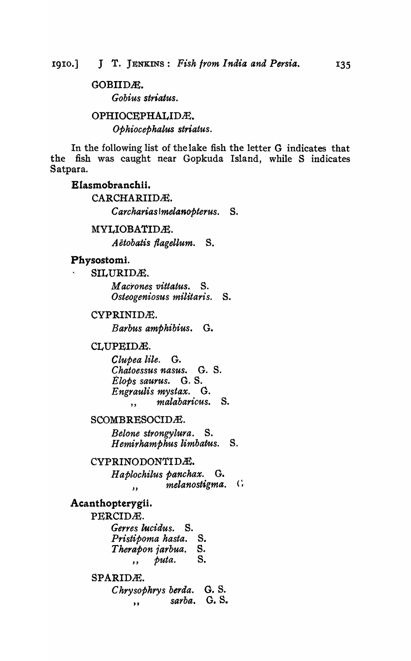# GOBIIDÆ. *Gobius striatus.*

# OPHIOCEPHALIDÆ. *Ophiocephalus striatus.*

In the following list of the lake fish the letter G indicates that the fish was caught near Gopkuda Island, while S indicates Satpara.

### EIasmobranchii.

CARCHARIIDÆ. C *archarias Imelanopterus.* S.

### MYLIOBATIDÆ.

*A etobatis flagellum.* S.

# Physostomi.

SILURIDÆ.

*M acrones vittatus.* S. *Osteogeniosus militaris.* S.

#### CYPRINIDÆ.

*Barbus amphibius.* G.

#### CLUPEIDÆ.

*Clupea lile.* G. *Chatoessus nasus.* G. S. *Elops saurus.* G. S. *Engraulis mystax.* G. " *malabaricus.* S.

### SCOMBRESOCIDÆ.

*Belone strongylura.* S. *Hemirhamphus limbatus.* S.

### CYPRINODONTIDÆ.

*H aplochilus panchax.* G.  $m$ *melanostigma.* 

# Acanthopterygii.

PERCIDÆ. *Gerres lucidus.* S. *Pristipoma hasta.* S. *Therapon jarbua.* S. " *puta.* S.

# SPARIDÆ.

C *hrysophrys berda.* O. S. *sarba.* G. S. "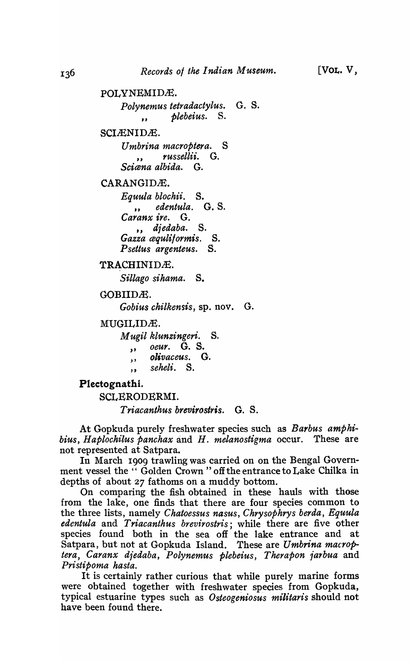```
POLYNEMIDÆ.
```
*Polynemus tetra dactylus.* G. S. " *plebeius.* S.

SCIÆNIDÆ.

*Umbrina macroptera.* S *" russeltii.* G. *Scicena albida.* G.

CARANGIDÆ.

*Equu/a blochii.* S. *" edentula.* G. S. *Caranx ire.* G. ,, djedaba. S. *Gazza cequlilormis.* S. *Psettus argenteus.* S.

TRACHINIDÆ. *Siltago sihama.* S.

GOBIIDÆ.

*Gobius chilkensis,* sp. nov. G.

MUGILIDÆ.

*M ugit klunzingeri.* S.

- 
- " *oeur.* G. S. , , *olivaceus.* G.
- " *seheU.* S.

Plectognathi.

SCLERODERMI.

*Triacanthus brevirostris.* G. S.

At Gopkuda purely freshwater species such as *Barbus amphibius, Haplochilus panchax* and *H. melanostigma* occur. These are not represented at Satpara.

In March 1909 trawling was carried on on the Bengal Government vessel the "Golden Crown" off the entrance to Lake Chilka in depths of about 27 fathoms on a muddy bottom.

On comparing the fish obtained in these hauls with those from the lake, one finds that there are four species common to the three lists, namely *Chatoessus nasus, Chrysophrys berda, Equula edentula* and *Triacanthus brevirostris;* while there are five other species found both in the sea off the lake entrance and at Satpara, but not at Gopkuda Island. These are *Umbrina macroptera, Caranx diedaba, Polynemus plebeius, Therapon iarbua* and *Pristipoma hasta.* 

It is certainly rather curious that while purely marine forms were obtained together with freshwater species from Gopkuda, typical estuarine types such as *Osteogeniosus militaris* should not have been found there.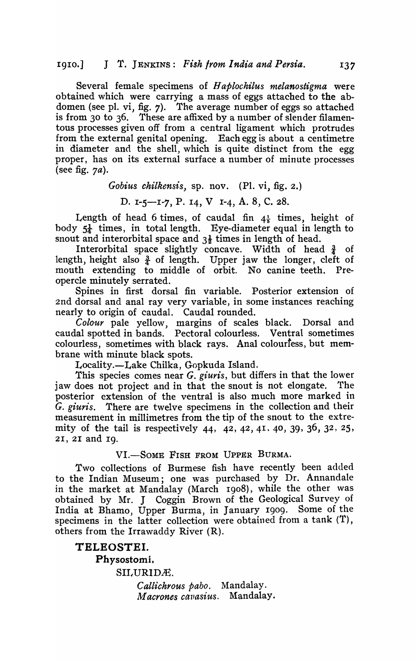Several female specimens of *H aplochilus melanostigma* were obtained which were carrying a mass of eggs attached to the abdomen (see pI. vi, fig. 7). The average number of eggs so attached is from 30 to 36. These are affixed by a number of slender filamentous processes given off from a central ligament which protrudes from the external genital opening. Each egg is about a centimetre in diameter and the shell, which is quite distinct from the egg proper, has on its external surface a number of minute processes (see fig.  $7a$ ).

*Gobius chllkensis,* sp. nov. (PI. vi, fig. 2.)

D. I-5-1-7, P. 14, V 1-4, A. 8, C. 28.

Length of head 6 times, of caudal fin  $4\frac{1}{5}$  times, height of body  $5\frac{1}{4}$  times, in total length. Eye-diameter equal in length to snout and interorbital space and  $3\frac{1}{2}$  times in length of head.

Interorbital space slightly concave. Width of head  $\frac{3}{4}$  of length, height also  $\frac{3}{4}$  of length. Upper jaw the longer, cleft of mouth extending to middle of orbit. No canine teeth. Preopercle minutely serrated.

Spines in first dorsal fin variable. Posterior extension of 2nd dorsal and anal ray very variable, in some instances reaching nearly to origin of caudal. Caudal rounded.

*Colour* pale yellow, margins of scales black. Dorsal and caudal spotted in bands. Pectoral colourless. Ventral sometimes colourless, sometimes with black rays. Anal colourfess, but membrane with minute black spots.

Locality.-Lake Chilka, Gopkuda Island.

This species comes near *G. giuris*, but differs in that the lower jaw does not project and in that the snout is not elongate. The posterior extension of the ventral is also much more marked in *G. giuris.* There are twelve specimens in the collection and their measurement in millimetres from the tip of the snout to the extremity of the tail is respectively 44, 42, 42, 41, 40, 39, 36, 32, 25, 21, 2I and Ig.

VI.-SOME FISH FROM UPPER BURMA.

Two collections of Burmese fish have recently been added to the Indian Museum; one was purchased by Dr. Annandale in the market at Mandalay (March Ig08), while the other was obtained by Mr. J Coggin Brown of the Geological Survey of India at Bhamo, Upper Burma, in January 1909. Some of the specimens in the latter collection were obtained from a tank (T), others from the Irrawaddy River (R).

**TELEOSTEI.**  Physostomi. SILURIDÆ. *CaUichrous pabo.* Mandalay. *Macrones cavasius.* Mandalay.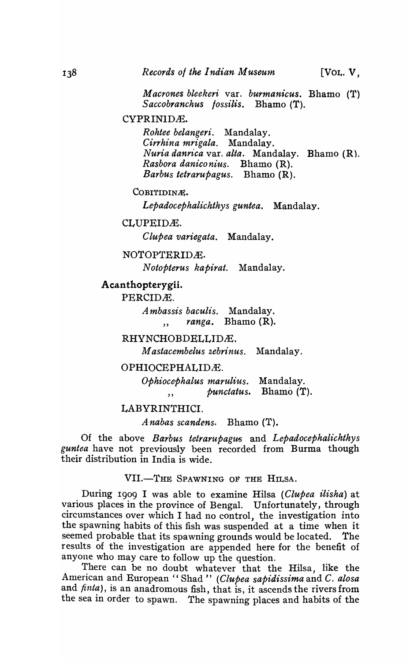M *acrones bleekeri* var. *burmanicus.* Bhamo (T) *Saccobranchus fossilis.* Bhamo (T).

CYPRINID£.

*Rohtee belangeri.* Mandalay. *Cirrhina mrigala.* Mandalay. *Nuria danrt"ca* var. *alta.* Mandalay. Bhamo (R). *Rasbora daniconius.* Bhamo (R). *Barbus tetrarupagus.* Bhamo (R).

COBITIDINÆ.

*Lepadocephalichthys guntea.* Mandalay.

CLUPEID£.

*Clupea variegata.* Mandalay.

NOTOPTERID£.

N *otopterus kapirat.* Mandalay.

### **Acanthopterygii.**

PERCID£.

A *mbassis baculis.* Mandalay. ranga. Bhamo (R).

RHYNCHOBDELLID£.

M *astacembelus zebrinus.* Mandalay.

#### OPHIOCEPHALID.E.

*Ophiocephalus marulius.* Mandalay. " *punctatus.* Bhamo (T).

#### LABYRINTHICI.

A *nabas scandens.* Bhamo (T).

Of the above *Barbus tetrarupagus* and *Lepadocephalichthys guntea* have not previously been recorded from Burma though their distribution in India is wide.

VII.-THE SPAWNING OF THE HILSA.

During 1909 I was able to examine Hilsa *(Clupea ilisha)* at various places in the province of Bengal. Unfortunately, through circumstances over which I had no control, the investigation into the spawning habits of this fish was suspended at a time when it seemed probable that its spawning grounds would be located. The results of the investigation are appended here for the benefit of anyone who may care to follow up the question.

There can be no doubt whatever that the Hilsa, like the American and European "Shad" *(Clupea sapidissima* and C. *alosa* and *finta),* is an anadromous fish, that is, it ascends the rivers from the sea in order to spawn. The spawning places and habits of the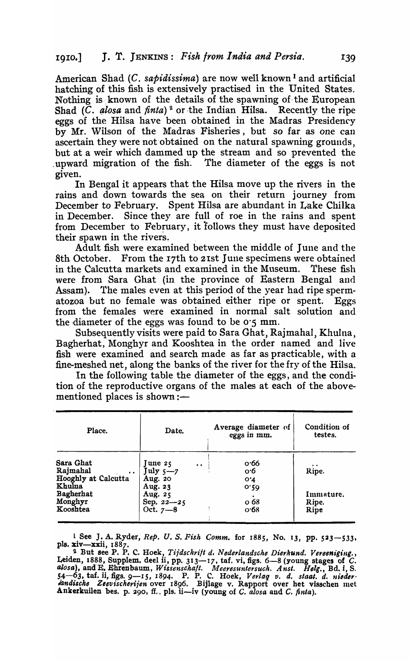American Shad (C. *sapidissima)* are now well known I and artificial hatching of this fish is extensively practised in the United States. Nothing is known of the details of the spawning of the European Shad (C. alosa and *finta*)<sup>2</sup> or the Indian Hilsa. Recently the ripe eggs of the Hilsa have been obtained in the Madras Presidency by Mr. Wilson of the Madras Fisheries, but so far as one can ascertain they were not obtained on the natural spawning grounds, but at a weir which dammed up the stream and so prevented the . upward migration of the fish'. The diameter of the eggs is not given.

In Bengal it appears that the Hilsa move up the rivers in the rains and down towards the sea on their return journey from December to February. Spent Hilsa are abundant in Lake Chilka in December. Since they are full of roe in the rains and spent from December to February, it follows they must have deposited their spawn in the rivers.

Adult fish were examined between the middle of June and the 8th. October. From the 17th to 2Ist June specimens were obtained in the Calcutta markets and examined in the Museum. These fish were from Sara Ghat (in the province of Eastern Bengal and Assam). The males even at this period of the year had ripe spermatozoa but no female was obtained either ripe or spent. Eggs from the females were examined in normal salt solution and the diameter of the eggs was found to be  $0.5$  mm.

Subsequently visits were paid to Sara Ghat, Rajmahal, Khulna, Bagherbat, Monghyr and Kooshtea in the order named and live fish were examined and search made as far as practicable, with a fine-meshed net, along the banks of the river for the fry of the Hilsa.

In the following table the diameter of the eggs, and the condition of the reproductive organs of the males at each of the abovementioned places is shown : $-$ 

| Place.                                                                                                              | Date.                                                                           |                      | Average diameter of<br>eggs in mm.                          | Condition of<br>testes.             |
|---------------------------------------------------------------------------------------------------------------------|---------------------------------------------------------------------------------|----------------------|-------------------------------------------------------------|-------------------------------------|
| Sara Ghat<br>Rajmahal<br>$\bullet$ $\bullet$ .<br>Hooghly at Calcutta<br>Khulua<br>Bagherhat<br>Monghyr<br>Kooshtea | June 25<br>$July -7$<br>Aug. 20<br>Aug. 23<br>Aug. 25<br>Sep. 22-25<br>Oct. 7-8 | $\ddot{\phantom{a}}$ | o·66<br>о∙б<br>O <sub>1</sub><br>0.20<br>$\circ$ 68<br>0.68 | Ripe.<br>Immature.<br>Ripe.<br>Ripe |

1 See J. A. Ryder, *Rep. U. S. Fish Gomm.* for 1885, No. 13, pp. 523-533. pIs. xiv-xxii, 1887.

<sup>2</sup> But see P. P. C. Hoek, *Tijdschrift d. Nederlandsche Dierkund. Vereeniging.*, Leiden, 1888, Supplem. deel ii, pp. 313-17, taf. vi, figs. 6-8 (young stages of C. *alosa),* and E. Ehtenbaum, *Wissenscka/t. Meeresuntersuch. Ansi. Helg.,* Bd.l, S. 54-63, taf. ii, figs. 9-15, 1894. P. P. C. Hoek, *Verlag v. d. staat. d. nieder iandische Zeevischerijen* over 1896. Bijlage v. Rapport over het visschen met Ankerkuilen bes. p. 290, ff., pls. ii-iv (young of C. *alosa* and C. *finta*).